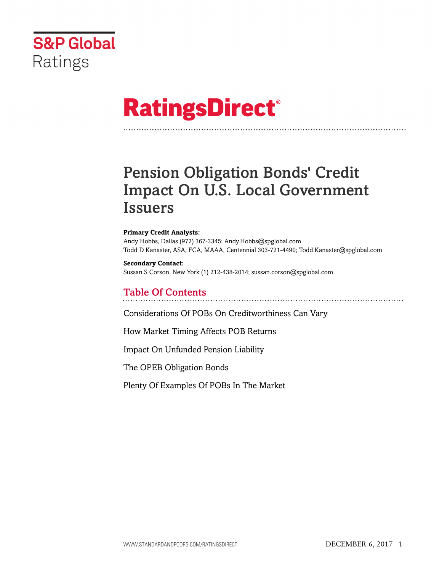

# **RatingsDirect®**

# Pension Obligation Bonds' Credit Impact On U.S. Local Government Issuers

#### **Primary Credit Analysts:**

Andy Hobbs, Dallas (972) 367-3345; Andy.Hobbs@spglobal.com Todd D Kanaster, ASA, FCA, MAAA, Centennial 303-721-4490; Todd.Kanaster@spglobal.com

**Secondary Contact:** Sussan S Corson, New York (1) 212-438-2014; sussan.corson@spglobal.com

### Table Of Contents

[Considerations Of POBs On Creditworthiness Can Vary](#page-1-0)

[How Market Timing Affects POB Returns](#page-2-0)

[Impact On Unfunded Pension Liability](#page-3-0)

[The OPEB Obligation Bonds](#page-5-0)

[Plenty Of Examples Of POBs In The Market](#page-5-1)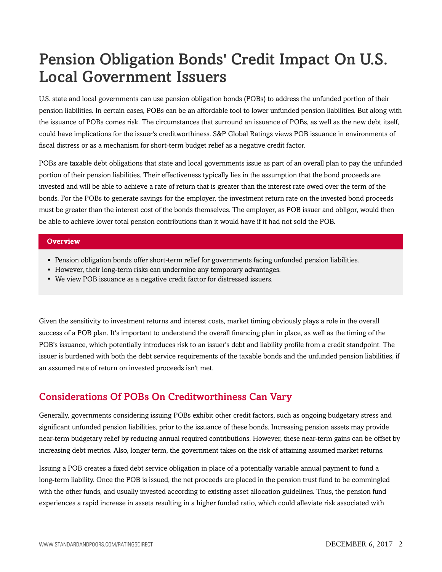# Pension Obligation Bonds' Credit Impact On U.S. Local Government Issuers

U.S. state and local governments can use pension obligation bonds (POBs) to address the unfunded portion of their pension liabilities. In certain cases, POBs can be an affordable tool to lower unfunded pension liabilities. But along with the issuance of POBs comes risk. The circumstances that surround an issuance of POBs, as well as the new debt itself, could have implications for the issuer's creditworthiness. S&P Global Ratings views POB issuance in environments of fiscal distress or as a mechanism for short-term budget relief as a negative credit factor.

POBs are taxable debt obligations that state and local governments issue as part of an overall plan to pay the unfunded portion of their pension liabilities. Their effectiveness typically lies in the assumption that the bond proceeds are invested and will be able to achieve a rate of return that is greater than the interest rate owed over the term of the bonds. For the POBs to generate savings for the employer, the investment return rate on the invested bond proceeds must be greater than the interest cost of the bonds themselves. The employer, as POB issuer and obligor, would then be able to achieve lower total pension contributions than it would have if it had not sold the POB.

#### **Overview**

- Pension obligation bonds offer short-term relief for governments facing unfunded pension liabilities.
- However, their long-term risks can undermine any temporary advantages.
- We view POB issuance as a negative credit factor for distressed issuers.

Given the sensitivity to investment returns and interest costs, market timing obviously plays a role in the overall success of a POB plan. It's important to understand the overall financing plan in place, as well as the timing of the POB's issuance, which potentially introduces risk to an issuer's debt and liability profile from a credit standpoint. The issuer is burdened with both the debt service requirements of the taxable bonds and the unfunded pension liabilities, if an assumed rate of return on invested proceeds isn't met.

# <span id="page-1-0"></span>Considerations Of POBs On Creditworthiness Can Vary

Generally, governments considering issuing POBs exhibit other credit factors, such as ongoing budgetary stress and significant unfunded pension liabilities, prior to the issuance of these bonds. Increasing pension assets may provide near-term budgetary relief by reducing annual required contributions. However, these near-term gains can be offset by increasing debt metrics. Also, longer term, the government takes on the risk of attaining assumed market returns.

Issuing a POB creates a fixed debt service obligation in place of a potentially variable annual payment to fund a long-term liability. Once the POB is issued, the net proceeds are placed in the pension trust fund to be commingled with the other funds, and usually invested according to existing asset allocation guidelines. Thus, the pension fund experiences a rapid increase in assets resulting in a higher funded ratio, which could alleviate risk associated with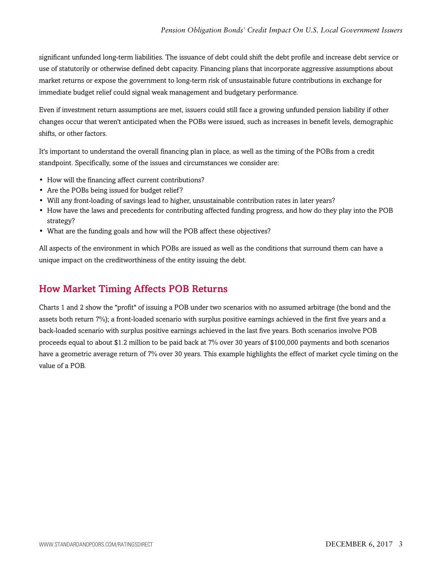significant unfunded long-term liabilities. The issuance of debt could shift the debt profile and increase debt service or use of statutorily or otherwise defined debt capacity. Financing plans that incorporate aggressive assumptions about market returns or expose the government to long-term risk of unsustainable future contributions in exchange for immediate budget relief could signal weak management and budgetary performance.

Even if investment return assumptions are met, issuers could still face a growing unfunded pension liability if other changes occur that weren't anticipated when the POBs were issued, such as increases in benefit levels, demographic shifts, or other factors.

It's important to understand the overall financing plan in place, as well as the timing of the POBs from a credit standpoint. Specifically, some of the issues and circumstances we consider are:

- How will the financing affect current contributions?
- Are the POBs being issued for budget relief?
- Will any front-loading of savings lead to higher, unsustainable contribution rates in later years?
- How have the laws and precedents for contributing affected funding progress, and how do they play into the POB strategy?
- What are the funding goals and how will the POB affect these objectives?

All aspects of the environment in which POBs are issued as well as the conditions that surround them can have a unique impact on the creditworthiness of the entity issuing the debt.

# <span id="page-2-0"></span>How Market Timing Affects POB Returns

Charts 1 and 2 show the "profit" of issuing a POB under two scenarios with no assumed arbitrage (the bond and the assets both return 7%); a front-loaded scenario with surplus positive earnings achieved in the first five years and a back-loaded scenario with surplus positive earnings achieved in the last five years. Both scenarios involve POB proceeds equal to about \$1.2 million to be paid back at 7% over 30 years of \$100,000 payments and both scenarios have a geometric average return of 7% over 30 years. This example highlights the effect of market cycle timing on the value of a POB.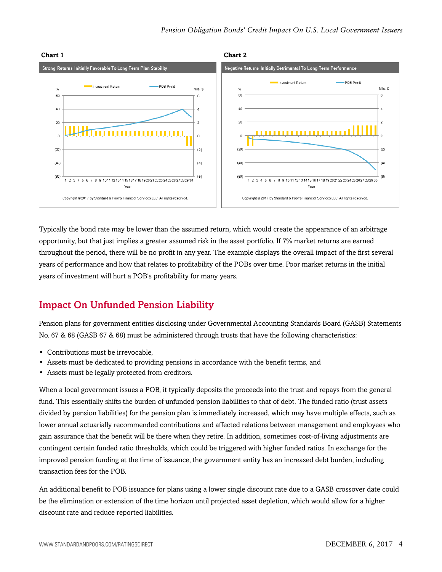

Typically the bond rate may be lower than the assumed return, which would create the appearance of an arbitrage opportunity, but that just implies a greater assumed risk in the asset portfolio. If 7% market returns are earned throughout the period, there will be no profit in any year. The example displays the overall impact of the first several years of performance and how that relates to profitability of the POBs over time. Poor market returns in the initial years of investment will hurt a POB's profitability for many years.

# <span id="page-3-0"></span>Impact On Unfunded Pension Liability

Pension plans for government entities disclosing under Governmental Accounting Standards Board (GASB) Statements No. 67 & 68 (GASB 67 & 68) must be administered through trusts that have the following characteristics:

- Contributions must be irrevocable,
- Assets must be dedicated to providing pensions in accordance with the benefit terms, and
- Assets must be legally protected from creditors.

When a local government issues a POB, it typically deposits the proceeds into the trust and repays from the general fund. This essentially shifts the burden of unfunded pension liabilities to that of debt. The funded ratio (trust assets divided by pension liabilities) for the pension plan is immediately increased, which may have multiple effects, such as lower annual actuarially recommended contributions and affected relations between management and employees who gain assurance that the benefit will be there when they retire. In addition, sometimes cost-of-living adjustments are contingent certain funded ratio thresholds, which could be triggered with higher funded ratios. In exchange for the improved pension funding at the time of issuance, the government entity has an increased debt burden, including transaction fees for the POB.

An additional benefit to POB issuance for plans using a lower single discount rate due to a GASB crossover date could be the elimination or extension of the time horizon until projected asset depletion, which would allow for a higher discount rate and reduce reported liabilities.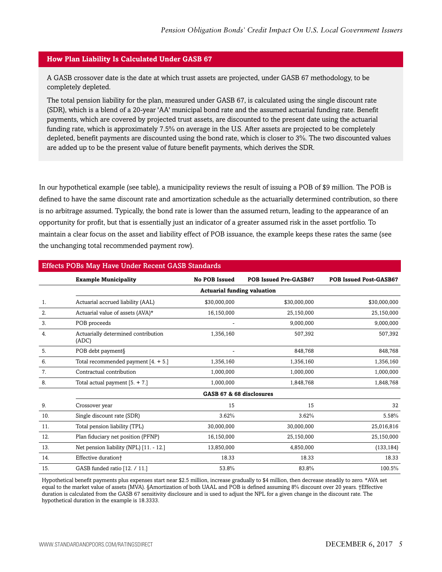#### **How Plan Liability Is Calculated Under GASB 67**

A GASB crossover date is the date at which trust assets are projected, under GASB 67 methodology, to be completely depleted.

The total pension liability for the plan, measured under GASB 67, is calculated using the single discount rate (SDR), which is a blend of a 20-year 'AA' municipal bond rate and the assumed actuarial funding rate. Benefit payments, which are covered by projected trust assets, are discounted to the present date using the actuarial funding rate, which is approximately 7.5% on average in the U.S. After assets are projected to be completely depleted, benefit payments are discounted using the bond rate, which is closer to 3%. The two discounted values are added up to be the present value of future benefit payments, which derives the SDR.

In our hypothetical example (see table), a municipality reviews the result of issuing a POB of \$9 million. The POB is defined to have the same discount rate and amortization schedule as the actuarially determined contribution, so there is no arbitrage assumed. Typically, the bond rate is lower than the assumed return, leading to the appearance of an opportunity for profit, but that is essentially just an indicator of a greater assumed risk in the asset portfolio. To maintain a clear focus on the asset and liability effect of POB issuance, the example keeps these rates the same (see the unchanging total recommended payment row).

| Effects FODS May Have Under Recent GASD Standards |                                              |                          |                              |                               |
|---------------------------------------------------|----------------------------------------------|--------------------------|------------------------------|-------------------------------|
|                                                   | <b>Example Municipality</b>                  | <b>No POB Issued</b>     | <b>POB Issued Pre-GASB67</b> | <b>POB Issued Post-GASB67</b> |
|                                                   | <b>Actuarial funding valuation</b>           |                          |                              |                               |
| 1.                                                | Actuarial accrued liability (AAL)            | \$30,000,000             | \$30,000,000                 | \$30,000,000                  |
| 2.                                                | Actuarial value of assets (AVA)*             | 16,150,000               | 25,150,000                   | 25,150,000                    |
| 3.                                                | POB proceeds                                 |                          | 9,000,000                    | 9,000,000                     |
| 4.                                                | Actuarially determined contribution<br>(ADC) | 1,356,160                | 507,392                      | 507,392                       |
| 5.                                                | POB debt payment§                            |                          | 848,768                      | 848,768                       |
| 6.                                                | Total recommended payment $[4. + 5.]$        | 1,356,160                | 1,356,160                    | 1,356,160                     |
| 7.                                                | Contractual contribution                     | 1,000,000                | 1,000,000                    | 1,000,000                     |
| 8.                                                | Total actual payment $[5. + 7.]$             | 1,000,000                | 1,848,768                    | 1,848,768                     |
|                                                   |                                              | GASB 67 & 68 disclosures |                              |                               |
| 9.                                                | Crossover year                               | 15                       | 15                           | 32                            |
| 10.                                               | Single discount rate (SDR)                   | 3.62%                    | 3.62%                        | 5.58%                         |
| 11.                                               | Total pension liability (TPL)                | 30,000,000               | 30,000,000                   | 25,016,816                    |
| 12.                                               | Plan fiduciary net position (PFNP)           | 16,150,000               | 25,150,000                   | 25,150,000                    |
| 13.                                               | Net pension liability (NPL) [11. - 12.]      | 13,850,000               | 4,850,000                    | (133, 184)                    |
| 14.                                               | Effective duration+                          | 18.33                    | 18.33                        | 18.33                         |
| 15.                                               | GASB funded ratio [12. / 11.]                | 53.8%                    | 83.8%                        | 100.5%                        |

#### Effects POBs May Have Under Recent GASB Standards

Hypothetical benefit payments plus expenses start near \$2.5 million, increase gradually to \$4 million, then decrease steadily to zero. \*AVA set equal to the market value of assets (MVA). §Amortization of both UAAL and POB is defined assuming 8% discount over 20 years. †Effective duration is calculated from the GASB 67 sensitivity disclosure and is used to adjust the NPL for a given change in the discount rate. The hypothetical duration in the example is 18.3333.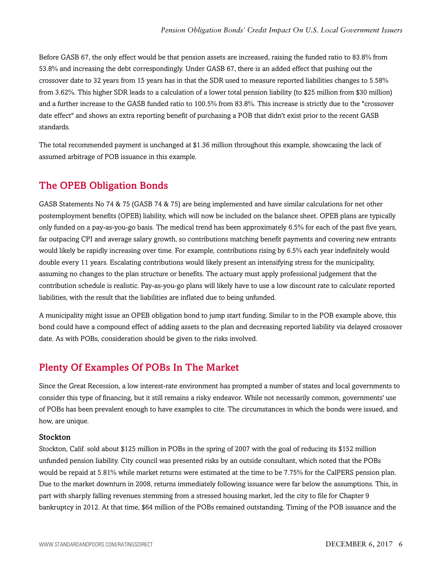Before GASB 67, the only effect would be that pension assets are increased, raising the funded ratio to 83.8% from 53.8% and increasing the debt correspondingly. Under GASB 67, there is an added effect that pushing out the crossover date to 32 years from 15 years has in that the SDR used to measure reported liabilities changes to 5.58% from 3.62%. This higher SDR leads to a calculation of a lower total pension liability (to \$25 million from \$30 million) and a further increase to the GASB funded ratio to 100.5% from 83.8%. This increase is strictly due to the "crossover date effect" and shows an extra reporting benefit of purchasing a POB that didn't exist prior to the recent GASB standards.

The total recommended payment is unchanged at \$1.36 million throughout this example, showcasing the lack of assumed arbitrage of POB issuance in this example.

### <span id="page-5-0"></span>The OPEB Obligation Bonds

GASB Statements No 74 & 75 (GASB 74 & 75) are being implemented and have similar calculations for net other postemployment benefits (OPEB) liability, which will now be included on the balance sheet. OPEB plans are typically only funded on a pay-as-you-go basis. The medical trend has been approximately 6.5% for each of the past five years, far outpacing CPI and average salary growth, so contributions matching benefit payments and covering new entrants would likely be rapidly increasing over time. For example, contributions rising by 6.5% each year indefinitely would double every 11 years. Escalating contributions would likely present an intensifying stress for the municipality, assuming no changes to the plan structure or benefits. The actuary must apply professional judgement that the contribution schedule is realistic. Pay-as-you-go plans will likely have to use a low discount rate to calculate reported liabilities, with the result that the liabilities are inflated due to being unfunded.

A municipality might issue an OPEB obligation bond to jump start funding. Similar to in the POB example above, this bond could have a compound effect of adding assets to the plan and decreasing reported liability via delayed crossover date. As with POBs, consideration should be given to the risks involved.

## <span id="page-5-1"></span>Plenty Of Examples Of POBs In The Market

Since the Great Recession, a low interest-rate environment has prompted a number of states and local governments to consider this type of financing, but it still remains a risky endeavor. While not necessarily common, governments' use of POBs has been prevalent enough to have examples to cite. The circumstances in which the bonds were issued, and how, are unique.

#### **Stockton**

Stockton, Calif. sold about \$125 million in POBs in the spring of 2007 with the goal of reducing its \$152 million unfunded pension liability. City council was presented risks by an outside consultant, which noted that the POBs would be repaid at 5.81% while market returns were estimated at the time to be 7.75% for the CalPERS pension plan. Due to the market downturn in 2008, returns immediately following issuance were far below the assumptions. This, in part with sharply falling revenues stemming from a stressed housing market, led the city to file for Chapter 9 bankruptcy in 2012. At that time, \$64 million of the POBs remained outstanding. Timing of the POB issuance and the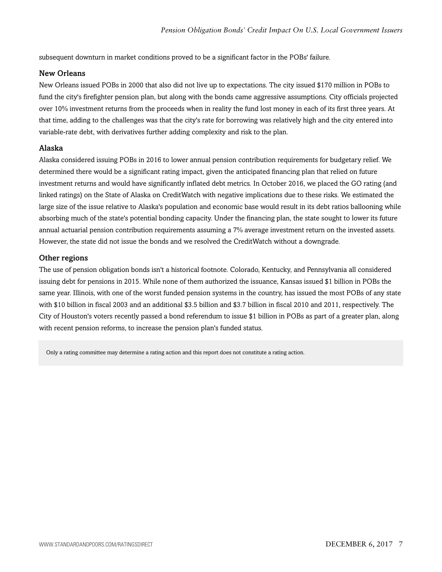subsequent downturn in market conditions proved to be a significant factor in the POBs' failure.

#### New Orleans

New Orleans issued POBs in 2000 that also did not live up to expectations. The city issued \$170 million in POBs to fund the city's firefighter pension plan, but along with the bonds came aggressive assumptions. City officials projected over 10% investment returns from the proceeds when in reality the fund lost money in each of its first three years. At that time, adding to the challenges was that the city's rate for borrowing was relatively high and the city entered into variable-rate debt, with derivatives further adding complexity and risk to the plan.

#### Alaska

Alaska considered issuing POBs in 2016 to lower annual pension contribution requirements for budgetary relief. We determined there would be a significant rating impact, given the anticipated financing plan that relied on future investment returns and would have significantly inflated debt metrics. In October 2016, we placed the GO rating (and linked ratings) on the State of Alaska on CreditWatch with negative implications due to these risks. We estimated the large size of the issue relative to Alaska's population and economic base would result in its debt ratios ballooning while absorbing much of the state's potential bonding capacity. Under the financing plan, the state sought to lower its future annual actuarial pension contribution requirements assuming a 7% average investment return on the invested assets. However, the state did not issue the bonds and we resolved the CreditWatch without a downgrade.

#### Other regions

The use of pension obligation bonds isn't a historical footnote. Colorado, Kentucky, and Pennsylvania all considered issuing debt for pensions in 2015. While none of them authorized the issuance, Kansas issued \$1 billion in POBs the same year. Illinois, with one of the worst funded pension systems in the country, has issued the most POBs of any state with \$10 billion in fiscal 2003 and an additional \$3.5 billion and \$3.7 billion in fiscal 2010 and 2011, respectively. The City of Houston's voters recently passed a bond referendum to issue \$1 billion in POBs as part of a greater plan, along with recent pension reforms, to increase the pension plan's funded status.

Only a rating committee may determine a rating action and this report does not constitute a rating action.